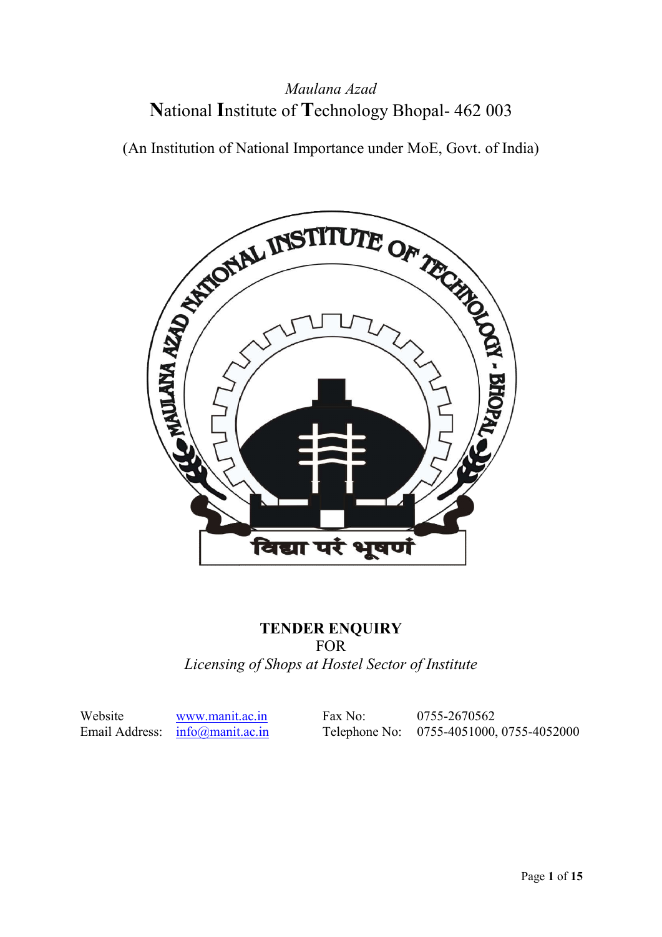## **N**ational **I**nstitute of **T**echnology Bhopal- 462 003 *Maulana Azad*

(An Institution of National Importance under MoE, Govt. of India)



### **TENDER ENQUIRY**

#### FOR

*Licensing of Shops at Hostel Sector of Institute*

Website www.manit.ac.in Email Address: info@manit.ac.in

 Fax No: 0755-2670562 n Fax No: 0755-2670562<br>
Telephone No: 0755-4051000, 0755-4052000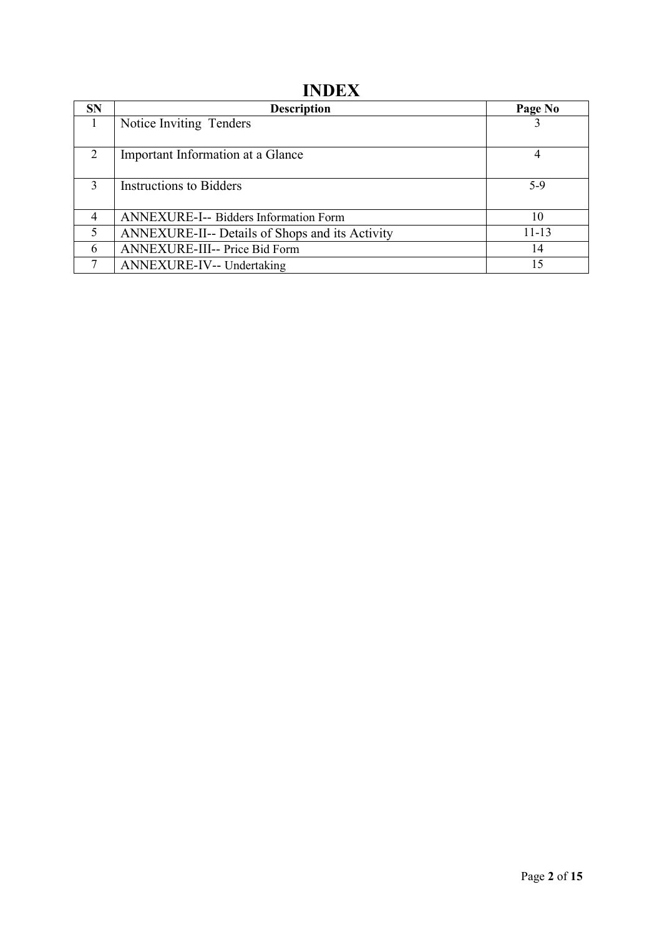## **INDEX**

| <b>SN</b>      | <b>Description</b>                                     | Page No |
|----------------|--------------------------------------------------------|---------|
|                | Notice Inviting Tenders                                |         |
| $\mathcal{D}$  | Important Information at a Glance                      | 4       |
| $\mathbf{3}$   | <b>Instructions to Bidders</b>                         | $5-9$   |
| $\overline{4}$ | <b>ANNEXURE-I-- Bidders Information Form</b>           | 10      |
| 5              | <b>ANNEXURE-II-- Details of Shops and its Activity</b> | 11-13   |
| 6              | <b>ANNEXURE-III-- Price Bid Form</b>                   | 14      |
|                | <b>ANNEXURE-IV-- Undertaking</b>                       | 15      |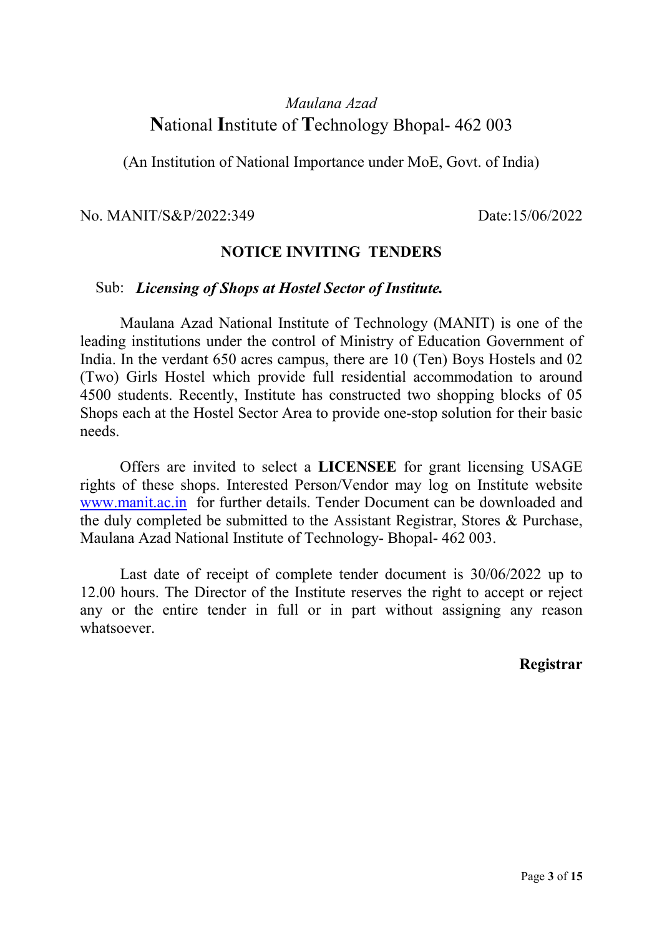## *Maulana Azad* **N**ational **I**nstitute of **T**echnology Bhopal- 462 003

(An Institution of National Importance under MoE, Govt. of India)

No. MANIT/S&P/2022:349 Date:15/06/2022

#### **NOTICE INVITING TENDERS**

#### Sub: *Licensing of Shops at Hostel Sector of Institute.*

Maulana Azad National Institute of Technology (MANIT) is one of the leading institutions under the control of Ministry of Education Government of India. In the verdant 650 acres campus, there are 10 (Ten) Boys Hostels and 02 (Two) Girls Hostel which provide full residential accommodation to around 4500 students. Recently, Institute has constructed two shopping blocks of 05 Shops each at the Hostel Sector Area to provide one-stop solution for their basic needs.

Offers are invited to select a **LICENSEE** for grant licensing USAGE rights of these shops. Interested Person/Vendor may log on Institute website www.manit.ac.in for further details. Tender Document can be downloaded and the duly completed be submitted to the Assistant Registrar, Stores & Purchase, Maulana Azad National Institute of Technology- Bhopal- 462 003.

Last date of receipt of complete tender document is 30/06/2022 up to 12.00 hours. The Director of the Institute reserves the right to accept or reject any or the entire tender in full or in part without assigning any reason whatsoever.

#### **Registrar**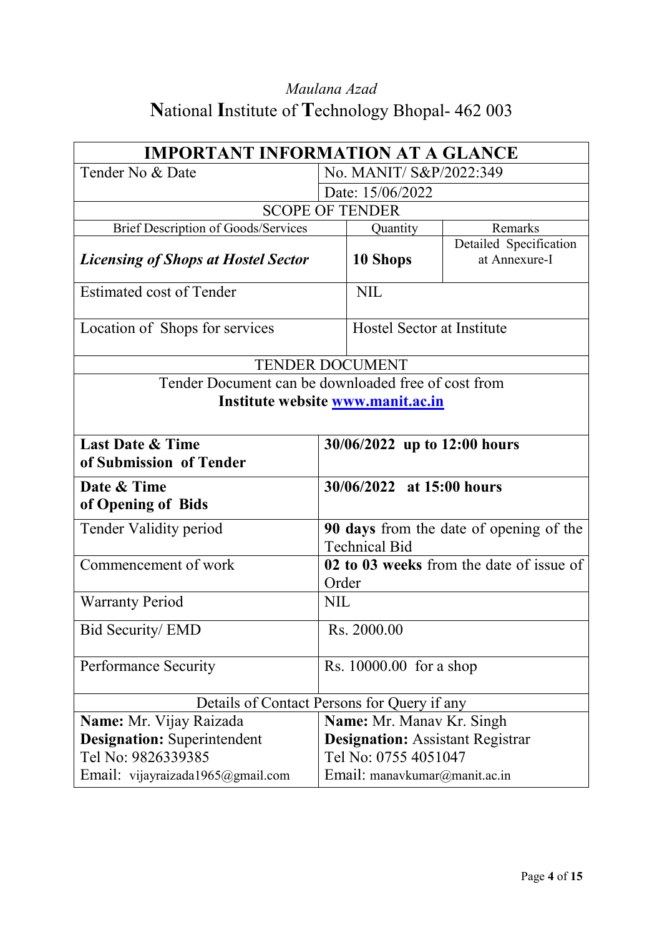# *Maulana Azad* **N**ational **I**nstitute of **T**echnology Bhopal- 462 003

|                                                        | <b>IMPORTANT INFORMATION AT A GLANCE</b>          |                                         |                                                |  |  |  |
|--------------------------------------------------------|---------------------------------------------------|-----------------------------------------|------------------------------------------------|--|--|--|
| Tender No & Date                                       |                                                   | No. MANIT/ S&P/2022:349                 |                                                |  |  |  |
|                                                        |                                                   | Date: 15/06/2022                        |                                                |  |  |  |
| <b>SCOPE OF TENDER</b>                                 |                                                   |                                         |                                                |  |  |  |
| <b>Brief Description of Goods/Services</b>             |                                                   | Quantity                                | Remarks                                        |  |  |  |
| <b>Licensing of Shops at Hostel Sector</b>             |                                                   | 10 Shops                                | Detailed Specification<br>at Annexure-I        |  |  |  |
| Estimated cost of Tender                               |                                                   | <b>NIL</b>                              |                                                |  |  |  |
| Location of Shops for services                         |                                                   | <b>Hostel Sector at Institute</b>       |                                                |  |  |  |
| <b>TENDER DOCUMENT</b>                                 |                                                   |                                         |                                                |  |  |  |
| Tender Document can be downloaded free of cost from    |                                                   |                                         |                                                |  |  |  |
| Institute website www.manit.ac.in                      |                                                   |                                         |                                                |  |  |  |
| <b>Last Date &amp; Time</b><br>of Submission of Tender | 30/06/2022 up to 12:00 hours                      |                                         |                                                |  |  |  |
| Date & Time<br>of Opening of Bids                      |                                                   | 30/06/2022 at 15:00 hours               |                                                |  |  |  |
| Tender Validity period                                 |                                                   | <b>Technical Bid</b>                    | <b>90 days</b> from the date of opening of the |  |  |  |
| Commencement of work                                   | 02 to 03 weeks from the date of issue of<br>Order |                                         |                                                |  |  |  |
| <b>Warranty Period</b>                                 | <b>NIL</b>                                        |                                         |                                                |  |  |  |
| Bid Security/ EMD                                      | Rs. 2000.00                                       |                                         |                                                |  |  |  |
| <b>Performance Security</b>                            | Rs. 10000.00 for a shop                           |                                         |                                                |  |  |  |
| Details of Contact Persons for Query if any            |                                                   |                                         |                                                |  |  |  |
| Name: Mr. Vijay Raizada                                |                                                   | Name: Mr. Manav Kr. Singh               |                                                |  |  |  |
| <b>Designation:</b> Superintendent                     |                                                   | <b>Designation:</b> Assistant Registrar |                                                |  |  |  |
| Tel No: 9826339385                                     |                                                   | Tel No: 0755 4051047                    |                                                |  |  |  |
| Email: vijayraizada1965@gmail.com                      |                                                   | Email: manavkumar@manit.ac.in           |                                                |  |  |  |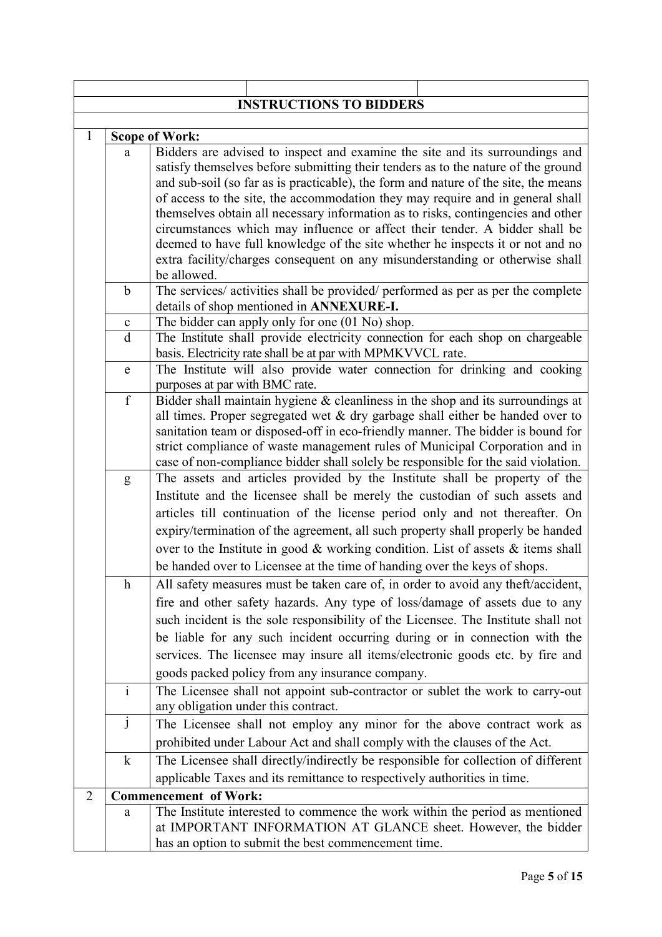|                | <b>INSTRUCTIONS TO BIDDERS</b> |                                                                                                                                                                                                                                                                                                                                                                                                                                                                                                                                                                                                                                                                                                |  |  |  |  |  |  |
|----------------|--------------------------------|------------------------------------------------------------------------------------------------------------------------------------------------------------------------------------------------------------------------------------------------------------------------------------------------------------------------------------------------------------------------------------------------------------------------------------------------------------------------------------------------------------------------------------------------------------------------------------------------------------------------------------------------------------------------------------------------|--|--|--|--|--|--|
|                |                                |                                                                                                                                                                                                                                                                                                                                                                                                                                                                                                                                                                                                                                                                                                |  |  |  |  |  |  |
| $\mathbf{1}$   |                                | <b>Scope of Work:</b>                                                                                                                                                                                                                                                                                                                                                                                                                                                                                                                                                                                                                                                                          |  |  |  |  |  |  |
|                | a                              | Bidders are advised to inspect and examine the site and its surroundings and<br>satisfy themselves before submitting their tenders as to the nature of the ground<br>and sub-soil (so far as is practicable), the form and nature of the site, the means<br>of access to the site, the accommodation they may require and in general shall<br>themselves obtain all necessary information as to risks, contingencies and other<br>circumstances which may influence or affect their tender. A bidder shall be<br>deemed to have full knowledge of the site whether he inspects it or not and no<br>extra facility/charges consequent on any misunderstanding or otherwise shall<br>be allowed. |  |  |  |  |  |  |
|                | $\mathbf b$                    | The services/ activities shall be provided/ performed as per as per the complete<br>details of shop mentioned in ANNEXURE-I.                                                                                                                                                                                                                                                                                                                                                                                                                                                                                                                                                                   |  |  |  |  |  |  |
|                | $\mathbf c$                    | The bidder can apply only for one (01 No) shop.                                                                                                                                                                                                                                                                                                                                                                                                                                                                                                                                                                                                                                                |  |  |  |  |  |  |
|                | $\mathbf{d}$                   | The Institute shall provide electricity connection for each shop on chargeable<br>basis. Electricity rate shall be at par with MPMKVVCL rate.                                                                                                                                                                                                                                                                                                                                                                                                                                                                                                                                                  |  |  |  |  |  |  |
|                | ${\bf e}$                      | The Institute will also provide water connection for drinking and cooking<br>purposes at par with BMC rate.                                                                                                                                                                                                                                                                                                                                                                                                                                                                                                                                                                                    |  |  |  |  |  |  |
|                | $\overline{f}$                 | Bidder shall maintain hygiene $&$ cleanliness in the shop and its surroundings at<br>all times. Proper segregated wet $\&$ dry garbage shall either be handed over to<br>sanitation team or disposed-off in eco-friendly manner. The bidder is bound for<br>strict compliance of waste management rules of Municipal Corporation and in<br>case of non-compliance bidder shall solely be responsible for the said violation.                                                                                                                                                                                                                                                                   |  |  |  |  |  |  |
|                | g                              | The assets and articles provided by the Institute shall be property of the<br>Institute and the licensee shall be merely the custodian of such assets and<br>articles till continuation of the license period only and not thereafter. On<br>expiry/termination of the agreement, all such property shall properly be handed<br>over to the Institute in good $\&$ working condition. List of assets $\&$ items shall<br>be handed over to Licensee at the time of handing over the keys of shops.                                                                                                                                                                                             |  |  |  |  |  |  |
|                | $\boldsymbol{\mathrm{h}}$      | All safety measures must be taken care of, in order to avoid any theft/accident,<br>fire and other safety hazards. Any type of loss/damage of assets due to any<br>such incident is the sole responsibility of the Licensee. The Institute shall not<br>be liable for any such incident occurring during or in connection with the<br>services. The licensee may insure all items/electronic goods etc. by fire and<br>goods packed policy from any insurance company.                                                                                                                                                                                                                         |  |  |  |  |  |  |
|                | $\overline{i}$                 | The Licensee shall not appoint sub-contractor or sublet the work to carry-out<br>any obligation under this contract.                                                                                                                                                                                                                                                                                                                                                                                                                                                                                                                                                                           |  |  |  |  |  |  |
|                | $\mathbf{j}$                   | The Licensee shall not employ any minor for the above contract work as                                                                                                                                                                                                                                                                                                                                                                                                                                                                                                                                                                                                                         |  |  |  |  |  |  |
|                |                                | prohibited under Labour Act and shall comply with the clauses of the Act.                                                                                                                                                                                                                                                                                                                                                                                                                                                                                                                                                                                                                      |  |  |  |  |  |  |
|                | $\mathbf k$                    | The Licensee shall directly/indirectly be responsible for collection of different<br>applicable Taxes and its remittance to respectively authorities in time.                                                                                                                                                                                                                                                                                                                                                                                                                                                                                                                                  |  |  |  |  |  |  |
| $\overline{2}$ |                                | <b>Commencement of Work:</b>                                                                                                                                                                                                                                                                                                                                                                                                                                                                                                                                                                                                                                                                   |  |  |  |  |  |  |
|                | a                              | The Institute interested to commence the work within the period as mentioned<br>at IMPORTANT INFORMATION AT GLANCE sheet. However, the bidder<br>has an option to submit the best commencement time.                                                                                                                                                                                                                                                                                                                                                                                                                                                                                           |  |  |  |  |  |  |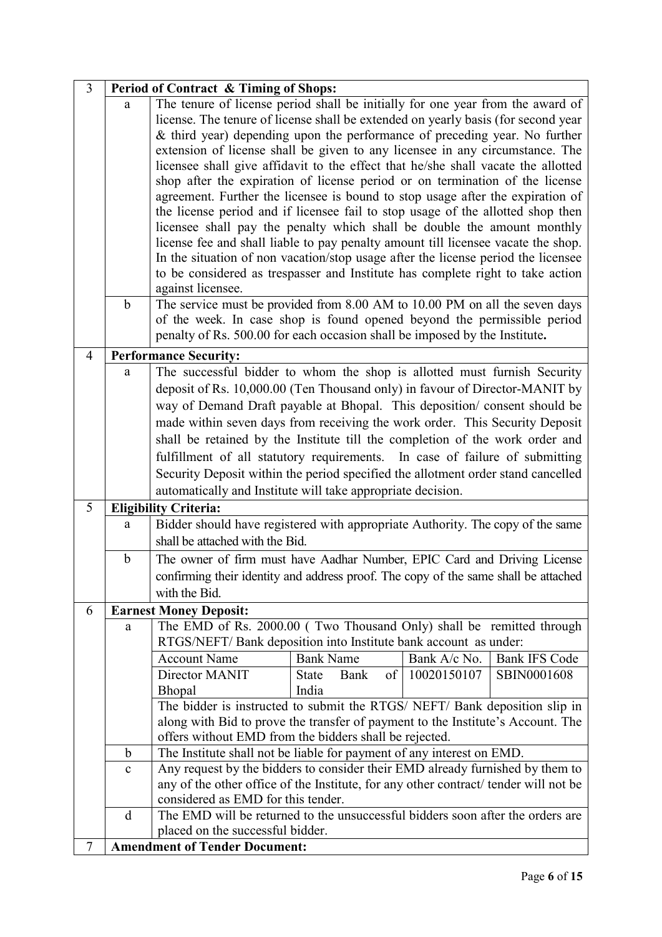| $\overline{3}$ | Period of Contract & Timing of Shops: |                                                                                                                                                                                                                                                                                                                                                                                                                                                                                                                                                                                                                                                                                                                                                                                                                                                                                                                                                                                                                                                                                                                        |                                                         |              |                      |  |  |
|----------------|---------------------------------------|------------------------------------------------------------------------------------------------------------------------------------------------------------------------------------------------------------------------------------------------------------------------------------------------------------------------------------------------------------------------------------------------------------------------------------------------------------------------------------------------------------------------------------------------------------------------------------------------------------------------------------------------------------------------------------------------------------------------------------------------------------------------------------------------------------------------------------------------------------------------------------------------------------------------------------------------------------------------------------------------------------------------------------------------------------------------------------------------------------------------|---------------------------------------------------------|--------------|----------------------|--|--|
|                | a<br>b                                | The tenure of license period shall be initially for one year from the award of<br>license. The tenure of license shall be extended on yearly basis (for second year<br>& third year) depending upon the performance of preceding year. No further<br>extension of license shall be given to any licensee in any circumstance. The<br>licensee shall give affidavit to the effect that he/she shall vacate the allotted<br>shop after the expiration of license period or on termination of the license<br>agreement. Further the licensee is bound to stop usage after the expiration of<br>the license period and if licensee fail to stop usage of the allotted shop then<br>licensee shall pay the penalty which shall be double the amount monthly<br>license fee and shall liable to pay penalty amount till licensee vacate the shop.<br>In the situation of non vacation/stop usage after the license period the licensee<br>to be considered as trespasser and Institute has complete right to take action<br>against licensee.<br>The service must be provided from 8.00 AM to 10.00 PM on all the seven days |                                                         |              |                      |  |  |
|                |                                       | of the week. In case shop is found opened beyond the permissible period<br>penalty of Rs. 500.00 for each occasion shall be imposed by the Institute.                                                                                                                                                                                                                                                                                                                                                                                                                                                                                                                                                                                                                                                                                                                                                                                                                                                                                                                                                                  |                                                         |              |                      |  |  |
| $\overline{4}$ |                                       | <b>Performance Security:</b>                                                                                                                                                                                                                                                                                                                                                                                                                                                                                                                                                                                                                                                                                                                                                                                                                                                                                                                                                                                                                                                                                           |                                                         |              |                      |  |  |
|                | a                                     | The successful bidder to whom the shop is allotted must furnish Security<br>deposit of Rs. 10,000.00 (Ten Thousand only) in favour of Director-MANIT by<br>way of Demand Draft payable at Bhopal. This deposition/consent should be<br>made within seven days from receiving the work order. This Security Deposit<br>shall be retained by the Institute till the completion of the work order and<br>fulfillment of all statutory requirements. In case of failure of submitting<br>Security Deposit within the period specified the allotment order stand cancelled                                                                                                                                                                                                                                                                                                                                                                                                                                                                                                                                                  |                                                         |              |                      |  |  |
|                |                                       | automatically and Institute will take appropriate decision.                                                                                                                                                                                                                                                                                                                                                                                                                                                                                                                                                                                                                                                                                                                                                                                                                                                                                                                                                                                                                                                            |                                                         |              |                      |  |  |
| 5              |                                       | <b>Eligibility Criteria:</b>                                                                                                                                                                                                                                                                                                                                                                                                                                                                                                                                                                                                                                                                                                                                                                                                                                                                                                                                                                                                                                                                                           |                                                         |              |                      |  |  |
|                | a                                     | Bidder should have registered with appropriate Authority. The copy of the same<br>shall be attached with the Bid.                                                                                                                                                                                                                                                                                                                                                                                                                                                                                                                                                                                                                                                                                                                                                                                                                                                                                                                                                                                                      |                                                         |              |                      |  |  |
|                | $\mathbf b$                           | The owner of firm must have Aadhar Number, EPIC Card and Driving License<br>confirming their identity and address proof. The copy of the same shall be attached<br>with the Bid.                                                                                                                                                                                                                                                                                                                                                                                                                                                                                                                                                                                                                                                                                                                                                                                                                                                                                                                                       |                                                         |              |                      |  |  |
| 6              |                                       | <b>Earnest Money Deposit:</b>                                                                                                                                                                                                                                                                                                                                                                                                                                                                                                                                                                                                                                                                                                                                                                                                                                                                                                                                                                                                                                                                                          |                                                         |              |                      |  |  |
|                | a                                     | The EMD of Rs. 2000.00 (Two Thousand Only) shall be remitted through                                                                                                                                                                                                                                                                                                                                                                                                                                                                                                                                                                                                                                                                                                                                                                                                                                                                                                                                                                                                                                                   |                                                         |              |                      |  |  |
|                |                                       | RTGS/NEFT/Bank deposition into Institute bank account as under:                                                                                                                                                                                                                                                                                                                                                                                                                                                                                                                                                                                                                                                                                                                                                                                                                                                                                                                                                                                                                                                        |                                                         |              |                      |  |  |
|                |                                       | <b>Account Name</b>                                                                                                                                                                                                                                                                                                                                                                                                                                                                                                                                                                                                                                                                                                                                                                                                                                                                                                                                                                                                                                                                                                    | <b>Bank Name</b>                                        | Bank A/c No. | <b>Bank IFS Code</b> |  |  |
|                |                                       | Director MANIT                                                                                                                                                                                                                                                                                                                                                                                                                                                                                                                                                                                                                                                                                                                                                                                                                                                                                                                                                                                                                                                                                                         | $\overline{\text{of}}$<br>Bank<br><b>State</b><br>India | 10020150107  | SBIN0001608          |  |  |
|                |                                       | Bhopal<br>The bidder is instructed to submit the RTGS/ NEFT/ Bank deposition slip in                                                                                                                                                                                                                                                                                                                                                                                                                                                                                                                                                                                                                                                                                                                                                                                                                                                                                                                                                                                                                                   |                                                         |              |                      |  |  |
|                |                                       | along with Bid to prove the transfer of payment to the Institute's Account. The                                                                                                                                                                                                                                                                                                                                                                                                                                                                                                                                                                                                                                                                                                                                                                                                                                                                                                                                                                                                                                        |                                                         |              |                      |  |  |
|                |                                       | offers without EMD from the bidders shall be rejected.                                                                                                                                                                                                                                                                                                                                                                                                                                                                                                                                                                                                                                                                                                                                                                                                                                                                                                                                                                                                                                                                 |                                                         |              |                      |  |  |
|                | b                                     | The Institute shall not be liable for payment of any interest on EMD.                                                                                                                                                                                                                                                                                                                                                                                                                                                                                                                                                                                                                                                                                                                                                                                                                                                                                                                                                                                                                                                  |                                                         |              |                      |  |  |
|                | $\mathbf{c}$                          | Any request by the bidders to consider their EMD already furnished by them to                                                                                                                                                                                                                                                                                                                                                                                                                                                                                                                                                                                                                                                                                                                                                                                                                                                                                                                                                                                                                                          |                                                         |              |                      |  |  |
|                |                                       | any of the other office of the Institute, for any other contract/tender will not be<br>considered as EMD for this tender.                                                                                                                                                                                                                                                                                                                                                                                                                                                                                                                                                                                                                                                                                                                                                                                                                                                                                                                                                                                              |                                                         |              |                      |  |  |
|                | d                                     | The EMD will be returned to the unsuccessful bidders soon after the orders are                                                                                                                                                                                                                                                                                                                                                                                                                                                                                                                                                                                                                                                                                                                                                                                                                                                                                                                                                                                                                                         |                                                         |              |                      |  |  |
|                |                                       | placed on the successful bidder.                                                                                                                                                                                                                                                                                                                                                                                                                                                                                                                                                                                                                                                                                                                                                                                                                                                                                                                                                                                                                                                                                       |                                                         |              |                      |  |  |
| 7              |                                       | <b>Amendment of Tender Document:</b>                                                                                                                                                                                                                                                                                                                                                                                                                                                                                                                                                                                                                                                                                                                                                                                                                                                                                                                                                                                                                                                                                   |                                                         |              |                      |  |  |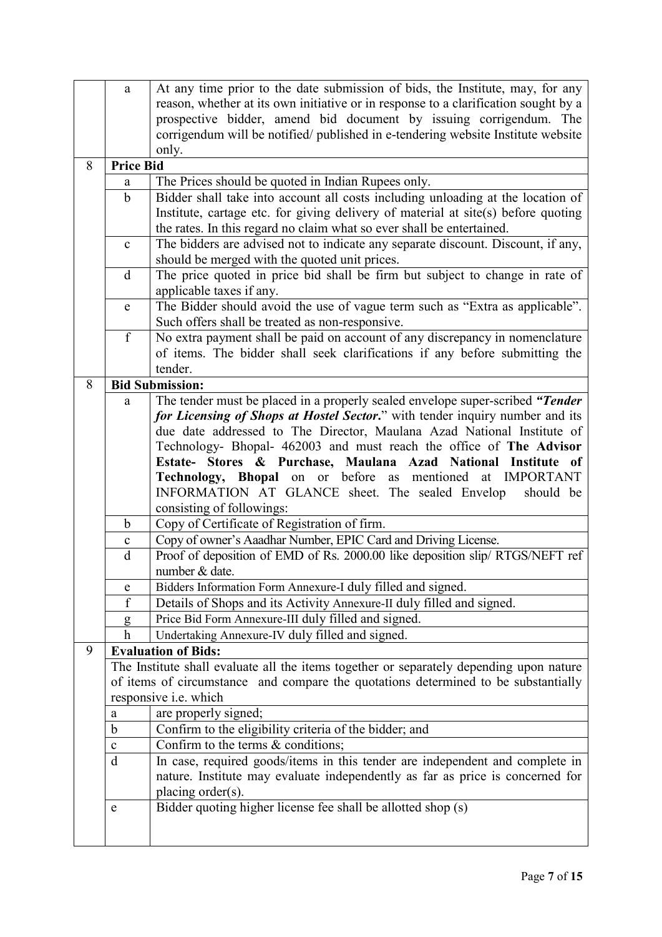|   | a                                 | At any time prior to the date submission of bids, the Institute, may, for any           |
|---|-----------------------------------|-----------------------------------------------------------------------------------------|
|   |                                   | reason, whether at its own initiative or in response to a clarification sought by a     |
|   |                                   | prospective bidder, amend bid document by issuing corrigendum. The                      |
|   |                                   | corrigendum will be notified/ published in e-tendering website Institute website        |
|   |                                   | only.                                                                                   |
| 8 | <b>Price Bid</b>                  |                                                                                         |
|   | a                                 | The Prices should be quoted in Indian Rupees only.                                      |
|   | $\mathbf b$                       | Bidder shall take into account all costs including unloading at the location of         |
|   |                                   | Institute, cartage etc. for giving delivery of material at site(s) before quoting       |
|   |                                   | the rates. In this regard no claim what so ever shall be entertained.                   |
|   | $\mathbf c$                       | The bidders are advised not to indicate any separate discount. Discount, if any,        |
|   |                                   | should be merged with the quoted unit prices.                                           |
|   | d                                 | The price quoted in price bid shall be firm but subject to change in rate of            |
|   |                                   | applicable taxes if any.                                                                |
|   | $\mathbf{e}% _{t}\left( t\right)$ | The Bidder should avoid the use of vague term such as "Extra as applicable".            |
|   |                                   | Such offers shall be treated as non-responsive.                                         |
|   | f                                 | No extra payment shall be paid on account of any discrepancy in nomenclature            |
|   |                                   | of items. The bidder shall seek clarifications if any before submitting the             |
|   |                                   | tender.                                                                                 |
| 8 |                                   | <b>Bid Submission:</b>                                                                  |
|   | a                                 | The tender must be placed in a properly sealed envelope super-scribed "Tender"          |
|   |                                   | for Licensing of Shops at Hostel Sector." with tender inquiry number and its            |
|   |                                   | due date addressed to The Director, Maulana Azad National Institute of                  |
|   |                                   | Technology- Bhopal- 462003 and must reach the office of The Advisor                     |
|   |                                   | Stores & Purchase, Maulana Azad National Institute of<br><b>Estate-</b>                 |
|   |                                   | <b>Technology, Bhopal</b> on or before as mentioned<br>at IMPORTANT                     |
|   |                                   | INFORMATION AT GLANCE sheet. The sealed Envelop<br>should be                            |
|   |                                   | consisting of followings:                                                               |
|   | b                                 | Copy of Certificate of Registration of firm.                                            |
|   | $\mathbf c$                       | Copy of owner's Aaadhar Number, EPIC Card and Driving License.                          |
|   | $\mathbf d$                       | Proof of deposition of EMD of Rs. 2000.00 like deposition slip/ RTGS/NEFT ref           |
|   |                                   | number & date.                                                                          |
|   | ${\bf e}$                         | Bidders Information Form Annexure-I duly filled and signed.                             |
|   | f                                 | Details of Shops and its Activity Annexure-II duly filled and signed.                   |
|   | g                                 | Price Bid Form Annexure-III duly filled and signed.                                     |
|   | $\boldsymbol{h}$                  | Undertaking Annexure-IV duly filled and signed.                                         |
| 9 |                                   | <b>Evaluation of Bids:</b>                                                              |
|   |                                   | The Institute shall evaluate all the items together or separately depending upon nature |
|   |                                   | of items of circumstance and compare the quotations determined to be substantially      |
|   |                                   | responsive i.e. which                                                                   |
|   | $\rm{a}$                          | are properly signed;                                                                    |
|   | $\mathbf b$                       | Confirm to the eligibility criteria of the bidder; and                                  |
|   | $\mathbf{C}$<br>$\mathbf d$       | Confirm to the terms $\&$ conditions;                                                   |
|   |                                   | In case, required goods/items in this tender are independent and complete in            |
|   |                                   | nature. Institute may evaluate independently as far as price is concerned for           |
|   |                                   | placing order(s).                                                                       |
|   | ${\rm e}$                         | Bidder quoting higher license fee shall be allotted shop (s)                            |
|   |                                   |                                                                                         |
|   |                                   |                                                                                         |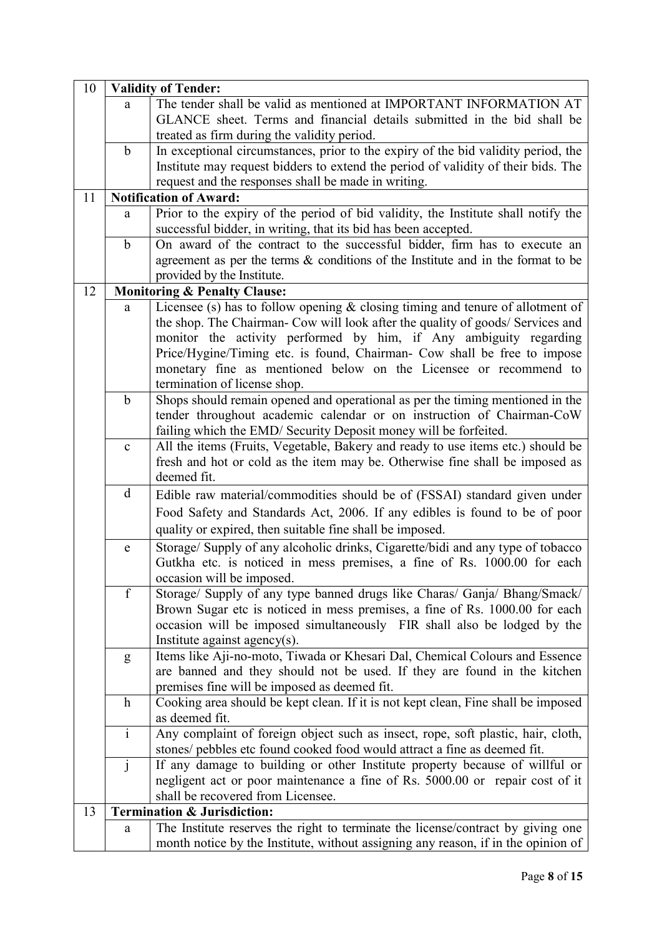| 10 |              | <b>Validity of Tender:</b>                                                          |  |  |  |  |
|----|--------------|-------------------------------------------------------------------------------------|--|--|--|--|
|    | a            | The tender shall be valid as mentioned at IMPORTANT INFORMATION AT                  |  |  |  |  |
|    |              | GLANCE sheet. Terms and financial details submitted in the bid shall be             |  |  |  |  |
|    |              | treated as firm during the validity period.                                         |  |  |  |  |
|    | $\mathbf b$  | In exceptional circumstances, prior to the expiry of the bid validity period, the   |  |  |  |  |
|    |              | Institute may request bidders to extend the period of validity of their bids. The   |  |  |  |  |
|    |              | request and the responses shall be made in writing.                                 |  |  |  |  |
| 11 |              | <b>Notification of Award:</b>                                                       |  |  |  |  |
|    | a            | Prior to the expiry of the period of bid validity, the Institute shall notify the   |  |  |  |  |
|    |              | successful bidder, in writing, that its bid has been accepted.                      |  |  |  |  |
|    | $\mathbf b$  | On award of the contract to the successful bidder, firm has to execute an           |  |  |  |  |
|    |              | agreement as per the terms $\&$ conditions of the Institute and in the format to be |  |  |  |  |
|    |              | provided by the Institute.                                                          |  |  |  |  |
| 12 |              | <b>Monitoring &amp; Penalty Clause:</b>                                             |  |  |  |  |
|    | a            | Licensee (s) has to follow opening $\&$ closing timing and tenure of allotment of   |  |  |  |  |
|    |              | the shop. The Chairman- Cow will look after the quality of goods/ Services and      |  |  |  |  |
|    |              | monitor the activity performed by him, if Any ambiguity regarding                   |  |  |  |  |
|    |              | Price/Hygine/Timing etc. is found, Chairman- Cow shall be free to impose            |  |  |  |  |
|    |              | monetary fine as mentioned below on the Licensee or recommend to                    |  |  |  |  |
|    |              | termination of license shop.                                                        |  |  |  |  |
|    | $\mathbf b$  | Shops should remain opened and operational as per the timing mentioned in the       |  |  |  |  |
|    |              | tender throughout academic calendar or on instruction of Chairman-CoW               |  |  |  |  |
|    |              | failing which the EMD/ Security Deposit money will be forfeited.                    |  |  |  |  |
|    | $\mathbf c$  | All the items (Fruits, Vegetable, Bakery and ready to use items etc.) should be     |  |  |  |  |
|    |              | fresh and hot or cold as the item may be. Otherwise fine shall be imposed as        |  |  |  |  |
|    |              | deemed fit.                                                                         |  |  |  |  |
|    | d            | Edible raw material/commodities should be of (FSSAI) standard given under           |  |  |  |  |
|    |              | Food Safety and Standards Act, 2006. If any edibles is found to be of poor          |  |  |  |  |
|    |              | quality or expired, then suitable fine shall be imposed.                            |  |  |  |  |
|    | $\mathbf e$  | Storage/ Supply of any alcoholic drinks, Cigarette/bidi and any type of tobacco     |  |  |  |  |
|    |              | Gutkha etc. is noticed in mess premises, a fine of Rs. 1000.00 for each             |  |  |  |  |
|    |              | occasion will be imposed.                                                           |  |  |  |  |
|    | $\mathbf f$  | Storage/ Supply of any type banned drugs like Charas/ Ganja/ Bhang/Smack/           |  |  |  |  |
|    |              | Brown Sugar etc is noticed in mess premises, a fine of Rs. 1000.00 for each         |  |  |  |  |
|    |              | occasion will be imposed simultaneously FIR shall also be lodged by the             |  |  |  |  |
|    |              | Institute against agency(s).                                                        |  |  |  |  |
|    | g            | Items like Aji-no-moto, Tiwada or Khesari Dal, Chemical Colours and Essence         |  |  |  |  |
|    |              | are banned and they should not be used. If they are found in the kitchen            |  |  |  |  |
|    |              | premises fine will be imposed as deemed fit.                                        |  |  |  |  |
|    | $\mathbf h$  | Cooking area should be kept clean. If it is not kept clean, Fine shall be imposed   |  |  |  |  |
|    |              | as deemed fit.                                                                      |  |  |  |  |
|    | $\mathbf{i}$ | Any complaint of foreign object such as insect, rope, soft plastic, hair, cloth,    |  |  |  |  |
|    |              | stones/ pebbles etc found cooked food would attract a fine as deemed fit.           |  |  |  |  |
|    | $\mathbf{j}$ | If any damage to building or other Institute property because of willful or         |  |  |  |  |
|    |              | negligent act or poor maintenance a fine of Rs. 5000.00 or repair cost of it        |  |  |  |  |
|    |              | shall be recovered from Licensee.                                                   |  |  |  |  |
| 13 |              | <b>Termination &amp; Jurisdiction:</b>                                              |  |  |  |  |
|    | a            | The Institute reserves the right to terminate the license/contract by giving one    |  |  |  |  |
|    |              | month notice by the Institute, without assigning any reason, if in the opinion of   |  |  |  |  |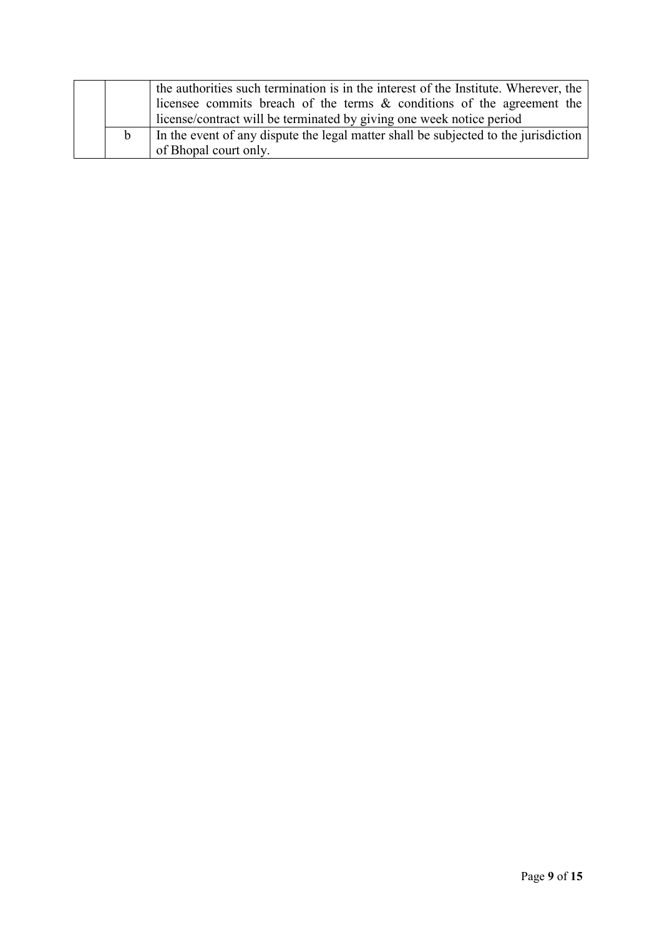|  | the authorities such termination is in the interest of the Institute. Wherever, the |
|--|-------------------------------------------------------------------------------------|
|  | licensee commits breach of the terms & conditions of the agreement the              |
|  | license/contract will be terminated by giving one week notice period                |
|  | In the event of any dispute the legal matter shall be subjected to the jurisdiction |
|  | of Bhopal court only.                                                               |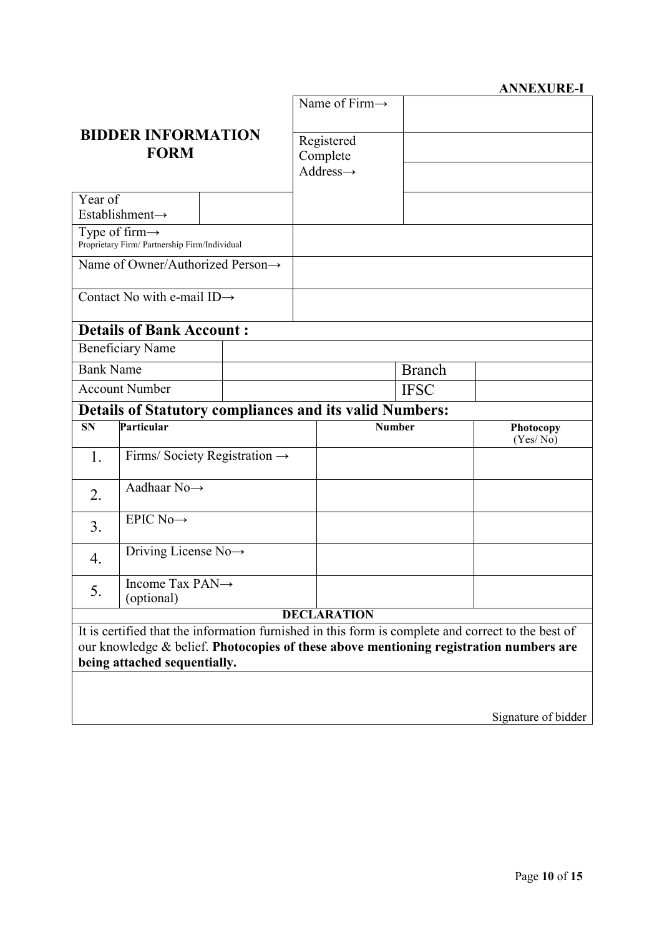#### **ANNEXURE-I**

|                                          |                                                                             | Name of Firm $\rightarrow$                                     |                                                 |             |                                                                                                                                                                                              |
|------------------------------------------|-----------------------------------------------------------------------------|----------------------------------------------------------------|-------------------------------------------------|-------------|----------------------------------------------------------------------------------------------------------------------------------------------------------------------------------------------|
| <b>BIDDER INFORMATION</b><br><b>FORM</b> |                                                                             |                                                                | Registered<br>Complete<br>$Address \rightarrow$ |             |                                                                                                                                                                                              |
| Year of                                  | Establishment-                                                              |                                                                |                                                 |             |                                                                                                                                                                                              |
|                                          | Type of firm $\rightarrow$<br>Proprietary Firm/ Partnership Firm/Individual |                                                                |                                                 |             |                                                                                                                                                                                              |
|                                          |                                                                             | Name of Owner/Authorized Person→                               |                                                 |             |                                                                                                                                                                                              |
|                                          | Contact No with e-mail ID $\rightarrow$                                     |                                                                |                                                 |             |                                                                                                                                                                                              |
|                                          | <b>Details of Bank Account:</b>                                             |                                                                |                                                 |             |                                                                                                                                                                                              |
|                                          | <b>Beneficiary Name</b>                                                     |                                                                |                                                 |             |                                                                                                                                                                                              |
| <b>Bank Name</b>                         |                                                                             |                                                                | <b>Branch</b>                                   |             |                                                                                                                                                                                              |
|                                          | <b>Account Number</b>                                                       |                                                                |                                                 | <b>IFSC</b> |                                                                                                                                                                                              |
|                                          |                                                                             | <b>Details of Statutory compliances and its valid Numbers:</b> |                                                 |             |                                                                                                                                                                                              |
|                                          | Particular                                                                  |                                                                |                                                 |             |                                                                                                                                                                                              |
| <b>SN</b>                                |                                                                             |                                                                | <b>Number</b>                                   |             | Photocopy<br>(Yes/No)                                                                                                                                                                        |
| 1.                                       |                                                                             | Firms/Society Registration $\rightarrow$                       |                                                 |             |                                                                                                                                                                                              |
| 2.                                       | Aadhaar $No \rightarrow$                                                    |                                                                |                                                 |             |                                                                                                                                                                                              |
| 3 <sub>1</sub>                           | EPIC No $\rightarrow$                                                       |                                                                |                                                 |             |                                                                                                                                                                                              |
| $\overline{4}$ .                         | Driving License $No \rightarrow$                                            |                                                                |                                                 |             |                                                                                                                                                                                              |
| 5.                                       | Income Tax PAN $\rightarrow$<br>(optional)                                  |                                                                |                                                 |             |                                                                                                                                                                                              |
|                                          |                                                                             |                                                                | <b>DECLARATION</b>                              |             |                                                                                                                                                                                              |
|                                          |                                                                             |                                                                |                                                 |             | It is certified that the information furnished in this form is complete and correct to the best of<br>our knowledge & belief. Photocopies of these above mentioning registration numbers are |
|                                          | being attached sequentially.                                                |                                                                |                                                 |             |                                                                                                                                                                                              |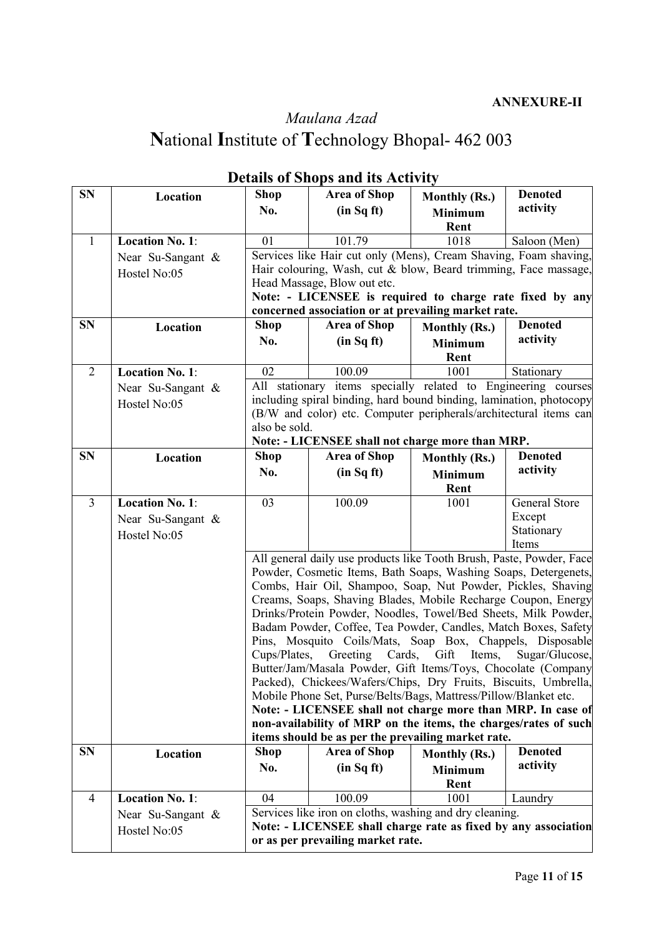# *Maulana Azad* **N**ational **I**nstitute of **T**echnology Bhopal- 462 003

| <b>SN</b>      | Location               | <b>Shop</b>   | <b>Area of Shop</b>                                                                                                              | <b>Monthly (Rs.)</b> | <b>Denoted</b> |  |
|----------------|------------------------|---------------|----------------------------------------------------------------------------------------------------------------------------------|----------------------|----------------|--|
|                |                        | No.           | (in Sq ft)                                                                                                                       | <b>Minimum</b>       | activity       |  |
|                |                        |               |                                                                                                                                  | Rent                 |                |  |
| $\mathbf{1}$   | <b>Location No. 1:</b> | 01            | 101.79                                                                                                                           | 1018                 | Saloon (Men)   |  |
|                |                        |               | Services like Hair cut only (Mens), Cream Shaving, Foam shaving,                                                                 |                      |                |  |
|                | Near Su-Sangant &      |               | Hair colouring, Wash, cut & blow, Beard trimming, Face massage,                                                                  |                      |                |  |
|                | Hostel No:05           |               | Head Massage, Blow out etc.                                                                                                      |                      |                |  |
|                |                        |               | Note: - LICENSEE is required to charge rate fixed by any                                                                         |                      |                |  |
|                |                        |               | concerned association or at prevailing market rate.                                                                              |                      |                |  |
| <b>SN</b>      | Location               | <b>Shop</b>   | <b>Area of Shop</b>                                                                                                              | <b>Monthly (Rs.)</b> | <b>Denoted</b> |  |
|                |                        | No.           | (in Sq ft)                                                                                                                       | <b>Minimum</b>       | activity       |  |
|                |                        |               |                                                                                                                                  | Rent                 |                |  |
| 2              | <b>Location No. 1:</b> | 02            | 100.09                                                                                                                           | 1001                 | Stationary     |  |
|                |                        |               | All stationary items specially related to Engineering courses                                                                    |                      |                |  |
|                | Near Su-Sangant $\&$   |               | including spiral binding, hard bound binding, lamination, photocopy                                                              |                      |                |  |
|                | Hostel No:05           |               | (B/W and color) etc. Computer peripherals/architectural items can                                                                |                      |                |  |
|                |                        | also be sold. |                                                                                                                                  |                      |                |  |
|                |                        |               | Note: - LICENSEE shall not charge more than MRP.                                                                                 |                      |                |  |
| <b>SN</b>      | Location               | <b>Shop</b>   | <b>Area of Shop</b>                                                                                                              | <b>Monthly (Rs.)</b> | <b>Denoted</b> |  |
|                |                        | No.           | (in Sq ft)                                                                                                                       | <b>Minimum</b>       | activity       |  |
|                |                        |               |                                                                                                                                  | Rent                 |                |  |
| $\overline{3}$ | <b>Location No. 1:</b> | 03            | 100.09                                                                                                                           | 1001                 | General Store  |  |
|                | Near Su-Sangant $\&$   |               |                                                                                                                                  |                      | Except         |  |
|                | Hostel No:05           |               |                                                                                                                                  |                      | Stationary     |  |
|                |                        |               |                                                                                                                                  |                      | Items          |  |
|                |                        |               | All general daily use products like Tooth Brush, Paste, Powder, Face                                                             |                      |                |  |
|                |                        |               | Powder, Cosmetic Items, Bath Soaps, Washing Soaps, Detergenets,                                                                  |                      |                |  |
|                |                        |               | Combs, Hair Oil, Shampoo, Soap, Nut Powder, Pickles, Shaving                                                                     |                      |                |  |
|                |                        |               | Creams, Soaps, Shaving Blades, Mobile Recharge Coupon, Energy                                                                    |                      |                |  |
|                |                        |               | Drinks/Protein Powder, Noodles, Towel/Bed Sheets, Milk Powder,                                                                   |                      |                |  |
|                |                        |               | Badam Powder, Coffee, Tea Powder, Candles, Match Boxes, Safety                                                                   |                      |                |  |
|                |                        |               | Pins, Mosquito Coils/Mats, Soap Box, Chappels, Disposable                                                                        |                      |                |  |
|                |                        | Cups/Plates,  | Greeting Cards,                                                                                                                  | Gift Items,          | Sugar/Glucose, |  |
|                |                        |               | Butter/Jam/Masala Powder, Gift Items/Toys, Chocolate (Company<br>Packed), Chickees/Wafers/Chips, Dry Fruits, Biscuits, Umbrella, |                      |                |  |
|                |                        |               | Mobile Phone Set, Purse/Belts/Bags, Mattress/Pillow/Blanket etc.                                                                 |                      |                |  |
|                |                        |               | Note: - LICENSEE shall not charge more than MRP. In case of                                                                      |                      |                |  |
|                |                        |               | non-availability of MRP on the items, the charges/rates of such                                                                  |                      |                |  |
|                |                        |               | items should be as per the prevailing market rate.                                                                               |                      |                |  |
| <b>SN</b>      | Location               | <b>Shop</b>   | <b>Area of Shop</b>                                                                                                              | <b>Monthly (Rs.)</b> | <b>Denoted</b> |  |
|                |                        | No.           | (in Sq ft)                                                                                                                       | <b>Minimum</b>       | activity       |  |
|                |                        |               |                                                                                                                                  | Rent                 |                |  |
| $\overline{4}$ | <b>Location No. 1:</b> | 04            | 100.09                                                                                                                           | 1001                 | Laundry        |  |
|                | Near Su-Sangant $\&$   |               | Services like iron on cloths, washing and dry cleaning.                                                                          |                      |                |  |
|                | Hostel No:05           |               | Note: - LICENSEE shall charge rate as fixed by any association                                                                   |                      |                |  |
|                |                        |               | or as per prevailing market rate.                                                                                                |                      |                |  |
|                |                        |               |                                                                                                                                  |                      |                |  |

### **Details of Shops and its Activity**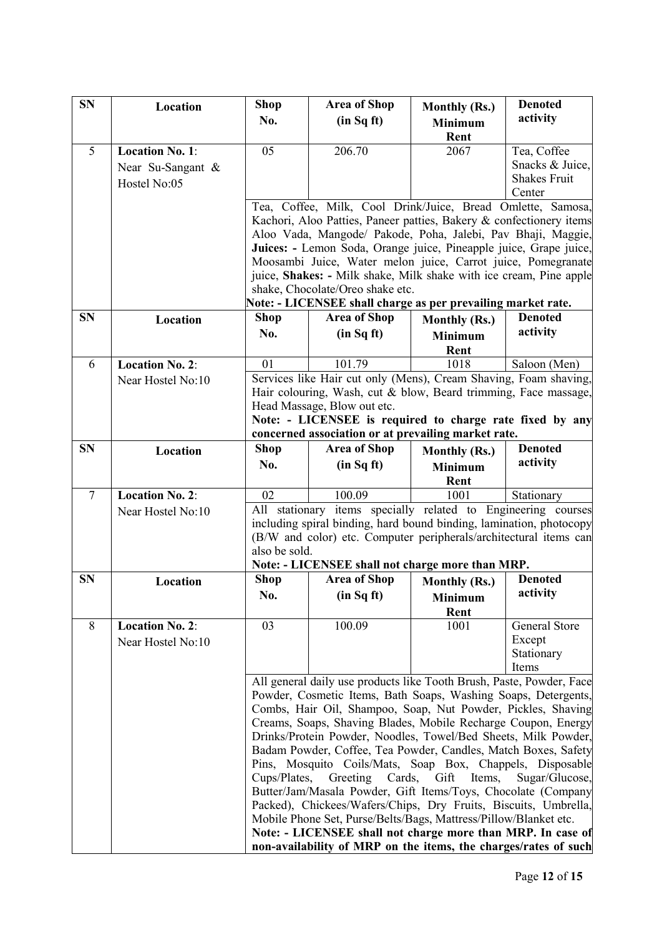| <b>SN</b>      | Location               | <b>Shop</b>                                                                             | <b>Area of Shop</b>                                                                                                                | <b>Monthly (Rs.)</b>   | <b>Denoted</b>      |  |
|----------------|------------------------|-----------------------------------------------------------------------------------------|------------------------------------------------------------------------------------------------------------------------------------|------------------------|---------------------|--|
|                |                        | No.                                                                                     | (in Sq ft)                                                                                                                         | <b>Minimum</b>         | activity            |  |
|                |                        |                                                                                         |                                                                                                                                    | Rent                   |                     |  |
| 5              | <b>Location No. 1:</b> | 05                                                                                      | 206.70                                                                                                                             | 2067                   | Tea, Coffee         |  |
|                | Near Su-Sangant $\&$   |                                                                                         |                                                                                                                                    |                        | Snacks & Juice,     |  |
|                | Hostel No:05           |                                                                                         |                                                                                                                                    |                        | <b>Shakes Fruit</b> |  |
|                |                        |                                                                                         |                                                                                                                                    |                        | Center              |  |
|                |                        |                                                                                         | Tea, Coffee, Milk, Cool Drink/Juice, Bread Omlette, Samosa,<br>Kachori, Aloo Patties, Paneer patties, Bakery & confectionery items |                        |                     |  |
|                |                        |                                                                                         | Aloo Vada, Mangode/ Pakode, Poha, Jalebi, Pav Bhaji, Maggie,                                                                       |                        |                     |  |
|                |                        |                                                                                         | Juices: - Lemon Soda, Orange juice, Pineapple juice, Grape juice,                                                                  |                        |                     |  |
|                |                        |                                                                                         | Moosambi Juice, Water melon juice, Carrot juice, Pomegranate                                                                       |                        |                     |  |
|                |                        |                                                                                         | juice, Shakes: - Milk shake, Milk shake with ice cream, Pine apple                                                                 |                        |                     |  |
|                |                        |                                                                                         | shake, Chocolate/Oreo shake etc.                                                                                                   |                        |                     |  |
|                |                        |                                                                                         | Note: - LICENSEE shall charge as per prevailing market rate.                                                                       |                        |                     |  |
| <b>SN</b>      | Location               | <b>Shop</b>                                                                             | <b>Area of Shop</b>                                                                                                                | Monthly (Rs.)          | <b>Denoted</b>      |  |
|                |                        | No.                                                                                     | (in Sq ft)                                                                                                                         | <b>Minimum</b>         | activity            |  |
|                |                        |                                                                                         |                                                                                                                                    | Rent                   |                     |  |
| 6              | <b>Location No. 2:</b> | 01                                                                                      | 101.79                                                                                                                             | 1018                   | Saloon (Men)        |  |
|                | Near Hostel No:10      |                                                                                         | Services like Hair cut only (Mens), Cream Shaving, Foam shaving,                                                                   |                        |                     |  |
|                |                        |                                                                                         | Hair colouring, Wash, cut & blow, Beard trimming, Face massage,                                                                    |                        |                     |  |
|                |                        | Head Massage, Blow out etc.<br>Note: - LICENSEE is required to charge rate fixed by any |                                                                                                                                    |                        |                     |  |
|                |                        |                                                                                         | concerned association or at prevailing market rate.                                                                                |                        |                     |  |
| <b>SN</b>      | Location               | <b>Shop</b>                                                                             | <b>Area of Shop</b>                                                                                                                | <b>Monthly (Rs.)</b>   | <b>Denoted</b>      |  |
|                |                        | No.                                                                                     | (in Sq ft)                                                                                                                         | <b>Minimum</b>         | activity            |  |
|                |                        |                                                                                         |                                                                                                                                    | Rent                   |                     |  |
| $\overline{7}$ | Location No. 2:        | 02                                                                                      | 100.09                                                                                                                             | 1001                   | Stationary          |  |
|                | Near Hostel No:10      |                                                                                         | All stationary items specially related to Engineering courses                                                                      |                        |                     |  |
|                |                        |                                                                                         | including spiral binding, hard bound binding, lamination, photocopy                                                                |                        |                     |  |
|                |                        |                                                                                         | (B/W and color) etc. Computer peripherals/architectural items can                                                                  |                        |                     |  |
|                |                        | also be sold.                                                                           |                                                                                                                                    |                        |                     |  |
| <b>SN</b>      | Location               | <b>Shop</b>                                                                             | Note: - LICENSEE shall not charge more than MRP.<br><b>Area of Shop</b>                                                            |                        | <b>Denoted</b>      |  |
|                |                        | No.                                                                                     | (in Sq ft)                                                                                                                         | <b>Monthly (Rs.)</b>   | activity            |  |
|                |                        |                                                                                         |                                                                                                                                    | <b>Minimum</b><br>Rent |                     |  |
| 8              | Location No. 2:        | 03                                                                                      | 100.09                                                                                                                             | 1001                   | General Store       |  |
|                | Near Hostel No:10      |                                                                                         |                                                                                                                                    |                        | Except              |  |
|                |                        |                                                                                         |                                                                                                                                    |                        | Stationary          |  |
|                |                        |                                                                                         |                                                                                                                                    |                        | Items               |  |
|                |                        |                                                                                         | All general daily use products like Tooth Brush, Paste, Powder, Face                                                               |                        |                     |  |
|                |                        |                                                                                         | Powder, Cosmetic Items, Bath Soaps, Washing Soaps, Detergents,                                                                     |                        |                     |  |
|                |                        |                                                                                         | Combs, Hair Oil, Shampoo, Soap, Nut Powder, Pickles, Shaving                                                                       |                        |                     |  |
|                |                        |                                                                                         | Creams, Soaps, Shaving Blades, Mobile Recharge Coupon, Energy<br>Drinks/Protein Powder, Noodles, Towel/Bed Sheets, Milk Powder,    |                        |                     |  |
|                |                        |                                                                                         | Badam Powder, Coffee, Tea Powder, Candles, Match Boxes, Safety                                                                     |                        |                     |  |
|                |                        |                                                                                         | Pins, Mosquito Coils/Mats, Soap Box, Chappels, Disposable                                                                          |                        |                     |  |
|                |                        | Cups/Plates,                                                                            | Greeting Cards,                                                                                                                    | Gift<br>Items,         | Sugar/Glucose,      |  |
|                |                        |                                                                                         | Butter/Jam/Masala Powder, Gift Items/Toys, Chocolate (Company                                                                      |                        |                     |  |
|                |                        |                                                                                         | Packed), Chickees/Wafers/Chips, Dry Fruits, Biscuits, Umbrella,                                                                    |                        |                     |  |
|                |                        |                                                                                         | Mobile Phone Set, Purse/Belts/Bags, Mattress/Pillow/Blanket etc.                                                                   |                        |                     |  |
|                |                        |                                                                                         | Note: - LICENSEE shall not charge more than MRP. In case of                                                                        |                        |                     |  |
|                |                        |                                                                                         | non-availability of MRP on the items, the charges/rates of such                                                                    |                        |                     |  |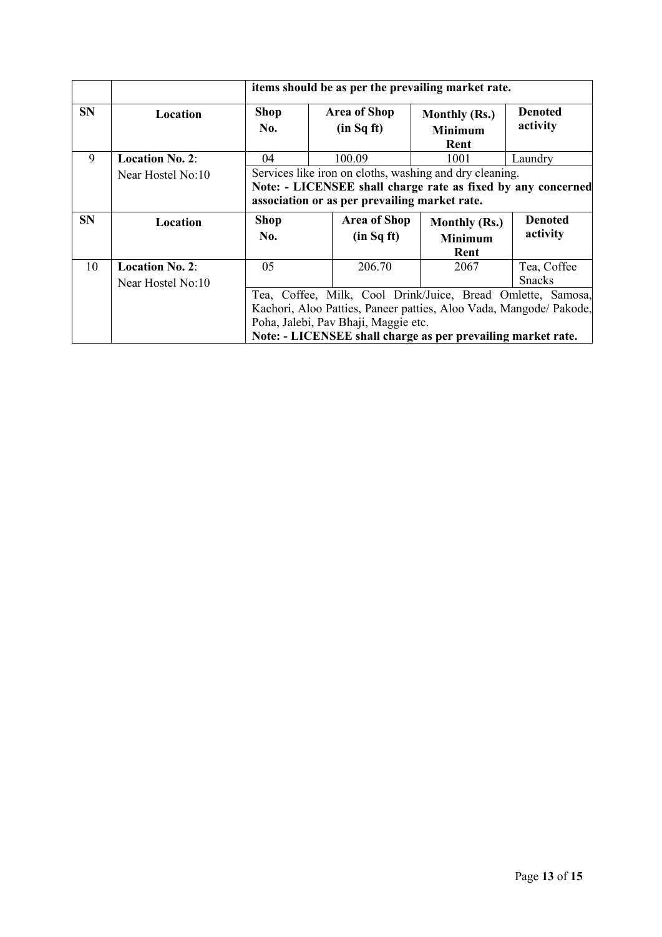|           |                        |                                                                              | items should be as per the prevailing market rate. |                                                              |                |  |  |  |  |
|-----------|------------------------|------------------------------------------------------------------------------|----------------------------------------------------|--------------------------------------------------------------|----------------|--|--|--|--|
| <b>SN</b> | Location               | <b>Denoted</b><br><b>Shop</b><br><b>Area of Shop</b><br><b>Monthly (Rs.)</b> |                                                    |                                                              |                |  |  |  |  |
|           |                        | No.                                                                          | (in Sq ft)                                         | <b>Minimum</b>                                               | activity       |  |  |  |  |
|           |                        |                                                                              |                                                    | Rent                                                         |                |  |  |  |  |
| 9         | <b>Location No. 2:</b> | 04                                                                           | 100.09                                             | 1001                                                         | Laundry        |  |  |  |  |
|           | Near Hostel No:10      |                                                                              |                                                    | Services like iron on cloths, washing and dry cleaning.      |                |  |  |  |  |
|           |                        |                                                                              |                                                    | Note: - LICENSEE shall charge rate as fixed by any concerned |                |  |  |  |  |
|           |                        |                                                                              | association or as per prevailing market rate.      |                                                              |                |  |  |  |  |
| <b>SN</b> | Location               | <b>Shop</b>                                                                  | <b>Area of Shop</b>                                | <b>Monthly (Rs.)</b>                                         | <b>Denoted</b> |  |  |  |  |
|           |                        | No.                                                                          | (in Sq ft)                                         | <b>Minimum</b>                                               | activity       |  |  |  |  |
|           |                        |                                                                              |                                                    | Rent                                                         |                |  |  |  |  |
| 10        | <b>Location No. 2:</b> | 05                                                                           | 206.70                                             | 2067                                                         | Tea, Coffee    |  |  |  |  |
|           | Near Hostel No:10      |                                                                              |                                                    |                                                              | <b>Snacks</b>  |  |  |  |  |
|           |                        | Tea, Coffee, Milk, Cool Drink/Juice, Bread Omlette, Samosa,                  |                                                    |                                                              |                |  |  |  |  |
|           |                        | Kachori, Aloo Patties, Paneer patties, Aloo Vada, Mangode/ Pakode,           |                                                    |                                                              |                |  |  |  |  |
|           |                        |                                                                              | Poha, Jalebi, Pav Bhaji, Maggie etc.               |                                                              |                |  |  |  |  |
|           |                        |                                                                              |                                                    | Note: - LICENSEE shall charge as per prevailing market rate. |                |  |  |  |  |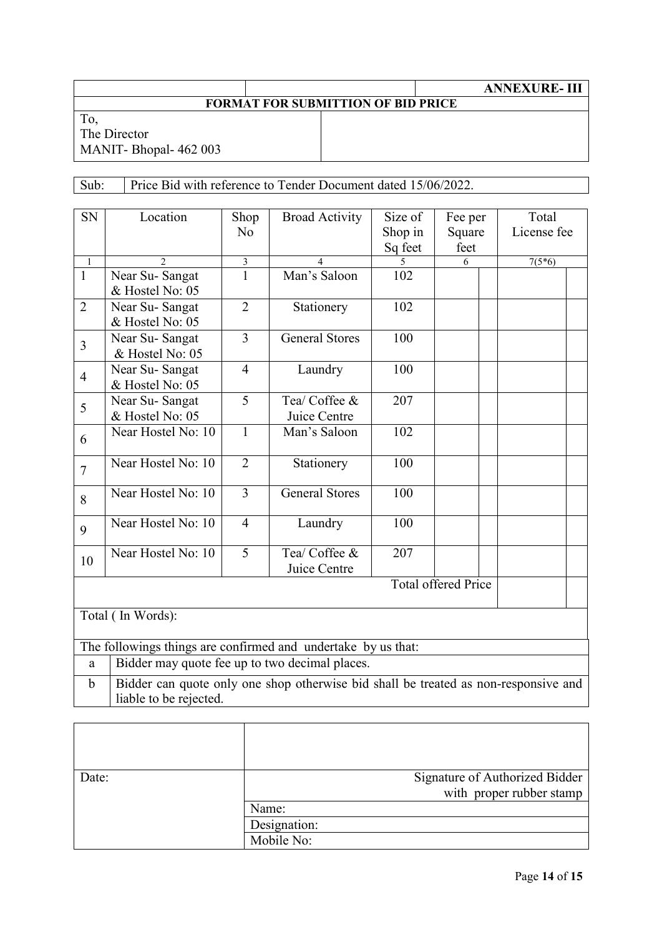## **FORMAT FOR SUBMITTION OF BID PRICE**

To, The Director MANIT- Bhopal- 462 003

 $\Gamma$ 

#### Sub: Price Bid with reference to Tender Document dated 15/06/2022.

| <b>SN</b>      | Location                                                                            | Shop           | <b>Broad Activity</b>         | Size of | Fee per                    | Total       |  |
|----------------|-------------------------------------------------------------------------------------|----------------|-------------------------------|---------|----------------------------|-------------|--|
|                |                                                                                     | N <sub>o</sub> |                               | Shop in | Square                     | License fee |  |
|                |                                                                                     |                |                               | Sq feet | feet                       |             |  |
| $\overline{1}$ | $\overline{\mathcal{L}}$                                                            | $\overline{3}$ | $\overline{\mathcal{A}}$      |         | 6                          | $7(5*6)$    |  |
| $\mathbf{1}$   | Near Su-Sangat                                                                      | 1              | Man's Saloon                  | 102     |                            |             |  |
|                | & Hostel No: 05                                                                     |                |                               |         |                            |             |  |
| $\overline{2}$ | Near Su-Sangat                                                                      | $\overline{2}$ | Stationery                    | 102     |                            |             |  |
|                | & Hostel No: 05                                                                     |                |                               |         |                            |             |  |
| $\overline{3}$ | Near Su-Sangat                                                                      | $\overline{3}$ | <b>General Stores</b>         | 100     |                            |             |  |
|                | & Hostel No: 05                                                                     |                |                               |         |                            |             |  |
| $\overline{4}$ | Near Su-Sangat                                                                      | $\overline{4}$ | Laundry                       | 100     |                            |             |  |
|                | & Hostel No: 05                                                                     |                |                               |         |                            |             |  |
| 5              | Near Su-Sangat                                                                      | $\overline{5}$ | Tea/ Coffee &                 | 207     |                            |             |  |
|                | & Hostel No: 05                                                                     |                | Juice Centre                  |         |                            |             |  |
| 6              | Near Hostel No: 10                                                                  | $\mathbf{1}$   | Man's Saloon                  | 102     |                            |             |  |
| $\overline{7}$ | Near Hostel No: 10                                                                  | $\overline{2}$ | Stationery                    | 100     |                            |             |  |
| 8              | Near Hostel No: 10                                                                  | $\overline{3}$ | <b>General Stores</b>         | 100     |                            |             |  |
| 9              | Near Hostel No: 10                                                                  | $\overline{4}$ | Laundry                       | 100     |                            |             |  |
| 10             | Near Hostel No: 10                                                                  | 5              | Tea/ Coffee &<br>Juice Centre | 207     |                            |             |  |
|                |                                                                                     |                |                               |         | <b>Total offered Price</b> |             |  |
|                |                                                                                     |                |                               |         |                            |             |  |
|                | Total (In Words):                                                                   |                |                               |         |                            |             |  |
|                |                                                                                     |                |                               |         |                            |             |  |
|                | The followings things are confirmed and undertake by us that:                       |                |                               |         |                            |             |  |
| a              | Bidder may quote fee up to two decimal places.                                      |                |                               |         |                            |             |  |
| $\mathbf b$    | Bidder can quote only one shop otherwise bid shall be treated as non-responsive and |                |                               |         |                            |             |  |
|                | liable to be rejected.                                                              |                |                               |         |                            |             |  |

| Date: |              | Signature of Authorized Bidder |
|-------|--------------|--------------------------------|
|       |              | with proper rubber stamp       |
|       | Name:        |                                |
|       | Designation: |                                |
|       | Mobile No:   |                                |

T